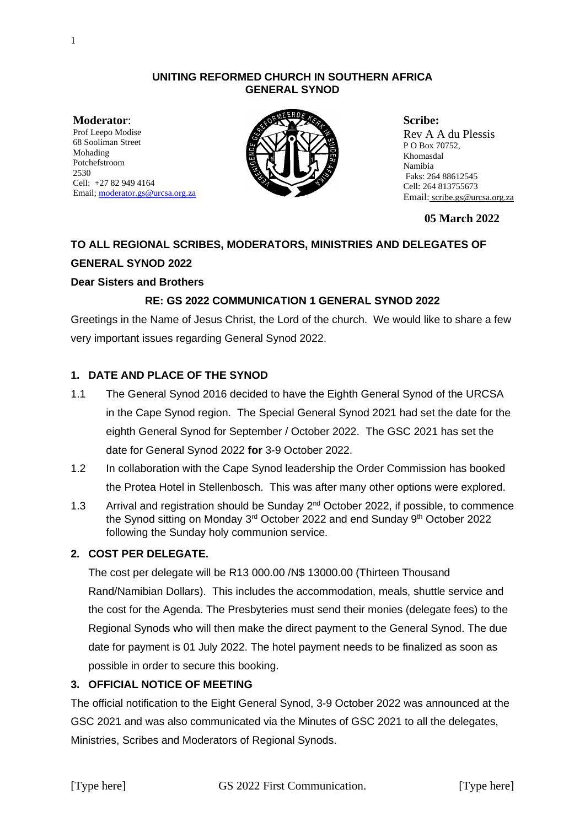#### **UNITING REFORMED CHURCH IN SOUTHERN AFRICA GENERAL SYNOD**

**Moderator**: Prof Leepo Modise 68 Sooliman Street Mohading Potchefstroom 2530 Cell: +27 82 949 4164 Email[; moderator.gs@urcsa.org.za](mailto:moderator.gs@urcsa.org.za)



**Scribe:**  Rev A A du Plessis P O Box 70752, Khomasdal Namibia Faks: 264 88612545 Cell: 264 813755673 Email: scribe.gs@urcsa.org.za

**05 March 2022**

### **TO ALL REGIONAL SCRIBES, MODERATORS, MINISTRIES AND DELEGATES OF**

### **GENERAL SYNOD 2022**

### **Dear Sisters and Brothers**

### **RE: GS 2022 COMMUNICATION 1 GENERAL SYNOD 2022**

Greetings in the Name of Jesus Christ, the Lord of the church. We would like to share a few very important issues regarding General Synod 2022.

# **1. DATE AND PLACE OF THE SYNOD**

- 1.1 The General Synod 2016 decided to have the Eighth General Synod of the URCSA in the Cape Synod region. The Special General Synod 2021 had set the date for the eighth General Synod for September / October 2022. The GSC 2021 has set the date for General Synod 2022 **for** 3-9 October 2022.
- 1.2 In collaboration with the Cape Synod leadership the Order Commission has booked the Protea Hotel in Stellenbosch. This was after many other options were explored.
- 1.3 Arrival and registration should be Sunday 2<sup>nd</sup> October 2022, if possible, to commence the Synod sitting on Monday 3<sup>rd</sup> October 2022 and end Sunday 9<sup>th</sup> October 2022 following the Sunday holy communion service.

# **2. COST PER DELEGATE.**

The cost per delegate will be R13 000.00 /N\$ 13000.00 (Thirteen Thousand Rand/Namibian Dollars). This includes the accommodation, meals, shuttle service and the cost for the Agenda. The Presbyteries must send their monies (delegate fees) to the Regional Synods who will then make the direct payment to the General Synod. The due date for payment is 01 July 2022. The hotel payment needs to be finalized as soon as possible in order to secure this booking.

# **3. OFFICIAL NOTICE OF MEETING**

The official notification to the Eight General Synod, 3-9 October 2022 was announced at the GSC 2021 and was also communicated via the Minutes of GSC 2021 to all the delegates, Ministries, Scribes and Moderators of Regional Synods.